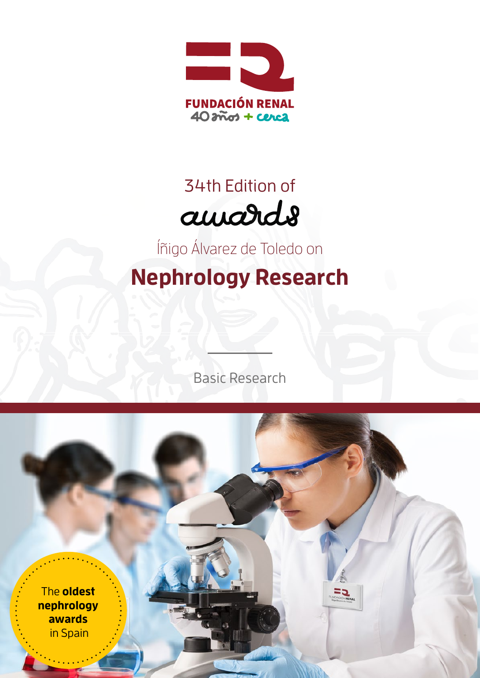

# 34th Edition of amards

Íñigo Álvarez de Toledo on

**Nephrology Research**

Basic Research

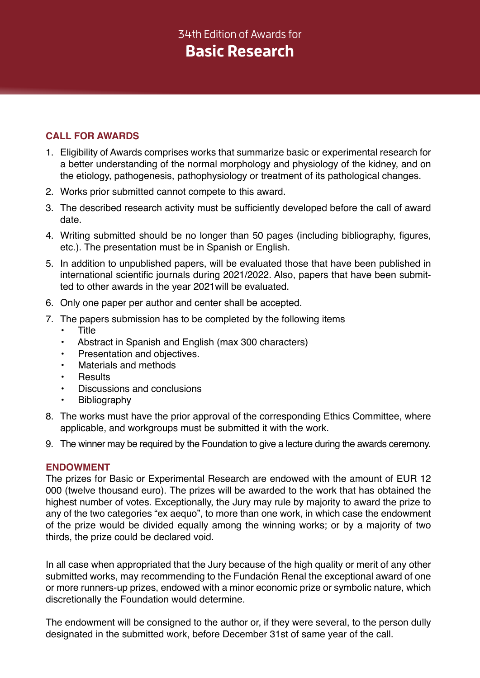## 34th Edition of Awards for **Basic Research**

### **CALL FOR AWARDS**

- 1. Eligibility of Awards comprises works that summarize basic or experimental research for a better understanding of the normal morphology and physiology of the kidney, and on the etiology, pathogenesis, pathophysiology or treatment of its pathological changes.
- 2. Works prior submitted cannot compete to this award.
- 3. The described research activity must be sufficiently developed before the call of award date.
- 4. Writing submitted should be no longer than 50 pages (including bibliography, figures, etc.). The presentation must be in Spanish or English.
- 5. In addition to unpublished papers, will be evaluated those that have been published in international scientific journals during 2021/2022. Also, papers that have been submitted to other awards in the year 2021will be evaluated.
- 6. Only one paper per author and center shall be accepted.
- 7. The papers submission has to be completed by the following items
	- Title
	- Abstract in Spanish and English (max 300 characters)
	- Presentation and objectives.
	- Materials and methods
	- **Results**
	- Discussions and conclusions
	- **Bibliography**
- 8. The works must have the prior approval of the corresponding Ethics Committee, where applicable, and workgroups must be submitted it with the work.
- 9. The winner may be required by the Foundation to give a lecture during the awards ceremony.

#### **ENDOWMENT**

The prizes for Basic or Experimental Research are endowed with the amount of EUR 12 000 (twelve thousand euro). The prizes will be awarded to the work that has obtained the highest number of votes. Exceptionally, the Jury may rule by majority to award the prize to any of the two categories "ex aequo", to more than one work, in which case the endowment of the prize would be divided equally among the winning works; or by a majority of two thirds, the prize could be declared void.

In all case when appropriated that the Jury because of the high quality or merit of any other submitted works, may recommending to the Fundación Renal the exceptional award of one or more runners-up prizes, endowed with a minor economic prize or symbolic nature, which discretionally the Foundation would determine.

The endowment will be consigned to the author or, if they were several, to the person dully designated in the submitted work, before December 31st of same year of the call.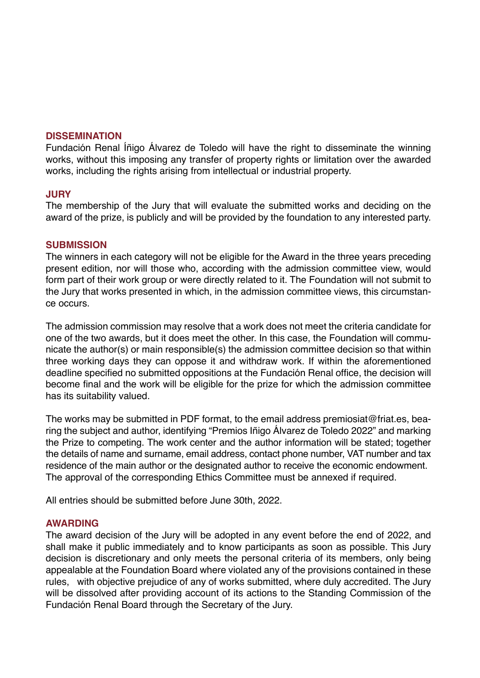#### **DISSEMINATION**

Fundación Renal Íñigo Álvarez de Toledo will have the right to disseminate the winning works, without this imposing any transfer of property rights or limitation over the awarded works, including the rights arising from intellectual or industrial property.

#### **JURY**

The membership of the Jury that will evaluate the submitted works and deciding on the award of the prize, is publicly and will be provided by the foundation to any interested party.

#### **SUBMISSION**

The winners in each category will not be eligible for the Award in the three years preceding present edition, nor will those who, according with the admission committee view, would form part of their work group or were directly related to it. The Foundation will not submit to the Jury that works presented in which, in the admission committee views, this circumstance occurs.

The admission commission may resolve that a work does not meet the criteria candidate for one of the two awards, but it does meet the other. In this case, the Foundation will communicate the author(s) or main responsible(s) the admission committee decision so that within three working days they can oppose it and withdraw work. If within the aforementioned deadline specified no submitted oppositions at the Fundación Renal office, the decision will become final and the work will be eligible for the prize for which the admission committee has its suitability valued.

The works may be submitted in PDF format, to the email address premiosiat@friat.es, bearing the subject and author, identifying "Premios Iñigo Álvarez de Toledo 2022" and marking the Prize to competing. The work center and the author information will be stated; together the details of name and surname, email address, contact phone number, VAT number and tax residence of the main author or the designated author to receive the economic endowment. The approval of the corresponding Ethics Committee must be annexed if required.

All entries should be submitted before June 30th, 2022.

#### **AWARDING**

The award decision of the Jury will be adopted in any event before the end of 2022, and shall make it public immediately and to know participants as soon as possible. This Jury decision is discretionary and only meets the personal criteria of its members, only being appealable at the Foundation Board where violated any of the provisions contained in these rules, with objective prejudice of any of works submitted, where duly accredited. The Jury will be dissolved after providing account of its actions to the Standing Commission of the Fundación Renal Board through the Secretary of the Jury.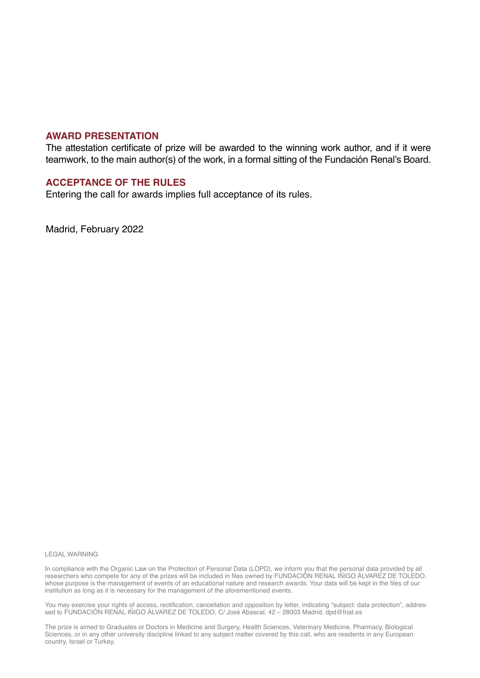#### **AWARD PRESENTATION**

The attestation certificate of prize will be awarded to the winning work author, and if it were teamwork, to the main author(s) of the work, in a formal sitting of the Fundación Renal's Board.

#### **ACCEPTANCE OF THE RULES**

Entering the call for awards implies full acceptance of its rules.

Madrid, February 2022

#### LEGAL WARNING

In compliance with the Organic Law on the Protection of Personal Data (LOPD), we inform you that the personal data provided by all researchers who compete for any of the prizes will be included in files owned by FUNDACIÓN RENAL IÑIGO ÁLVAREZ DE TOLEDO, whose purpose is the management of events of an educational nature and research awards. Your data will be kept in the files of our institution as long as it is necessary for the management of the aforementioned events.

You may exercise your rights of access, rectification, cancellation and opposition by letter, indicating "subject: data protection", addressed to FUNDACIÓN RENAL IÑIGO ÁLVAREZ DE TOLEDO, C/ José Abascal, 42 – 28003 Madrid. dpd@friat.es

The prize is aimed to Graduates or Doctors in Medicine and Surgery, Health Sciences, Veterinary Medicine, Pharmacy, Biological Sciences, or in any other university discipline linked to any subject matter covered by this call, who are residents in any European country, Israel or Turkey.